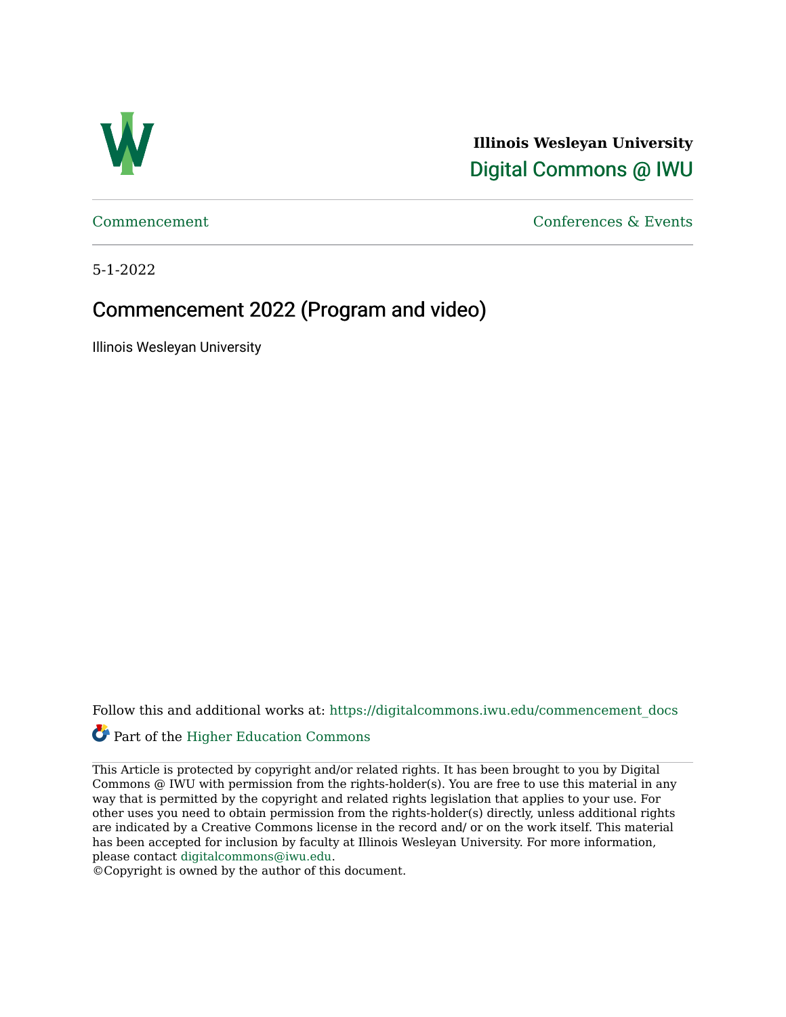

**Illinois Wesleyan University**  [Digital Commons @ IWU](https://digitalcommons.iwu.edu/) 

[Commencement](https://digitalcommons.iwu.edu/commencement_docs) [Conferences & Events](https://digitalcommons.iwu.edu/con_events) 

5-1-2022

# Commencement 2022 (Program and video)

Illinois Wesleyan University

Follow this and additional works at: [https://digitalcommons.iwu.edu/commencement\\_docs](https://digitalcommons.iwu.edu/commencement_docs?utm_source=digitalcommons.iwu.edu%2Fcommencement_docs%2F89&utm_medium=PDF&utm_campaign=PDFCoverPages) 

# Part of the [Higher Education Commons](https://network.bepress.com/hgg/discipline/1245?utm_source=digitalcommons.iwu.edu%2Fcommencement_docs%2F89&utm_medium=PDF&utm_campaign=PDFCoverPages)

This Article is protected by copyright and/or related rights. It has been brought to you by Digital Commons @ IWU with permission from the rights-holder(s). You are free to use this material in any way that is permitted by the copyright and related rights legislation that applies to your use. For other uses you need to obtain permission from the rights-holder(s) directly, unless additional rights are indicated by a Creative Commons license in the record and/ or on the work itself. This material has been accepted for inclusion by faculty at Illinois Wesleyan University. For more information, please contact [digitalcommons@iwu.edu.](mailto:digitalcommons@iwu.edu)

©Copyright is owned by the author of this document.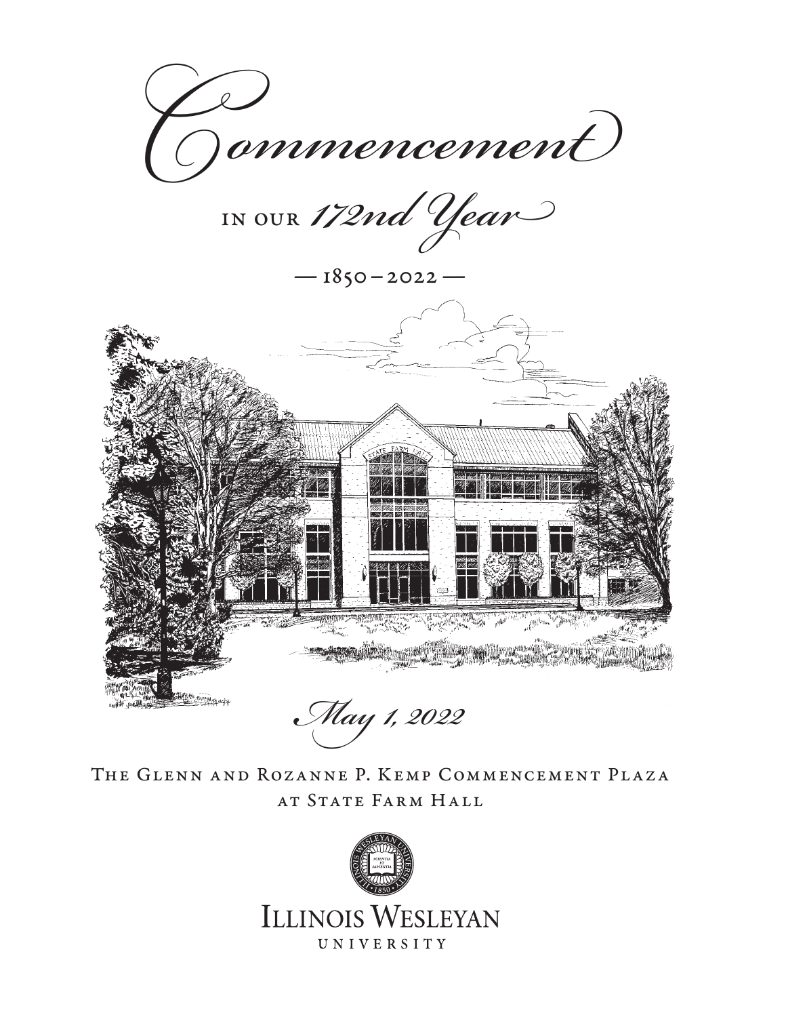

in our *172nd Year*

 $-1850-2022-$ 



*May 1, 2022* 

The Glenn and Rozanne P. Kemp Commencement Plaza AT STATE FARM HALL

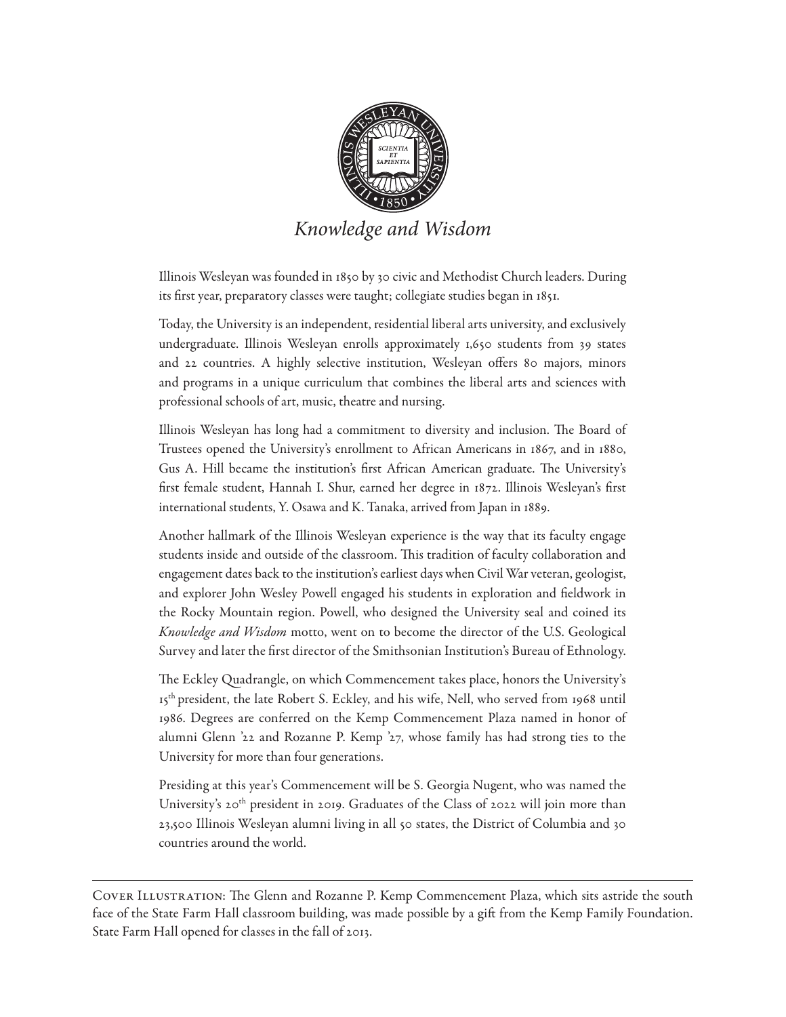

*Knowledge and Wisdom*

Illinois Wesleyan was founded in 1850 by 30 civic and Methodist Church leaders. During its first year, preparatory classes were taught; collegiate studies began in 1851.

Today, the University is an independent, residential liberal arts university, and exclusively undergraduate. Illinois Wesleyan enrolls approximately 1,650 students from 39 states and 22 countries. A highly selective institution, Wesleyan offers 80 majors, minors and programs in a unique curriculum that combines the liberal arts and sciences with professional schools of art, music, theatre and nursing.

Illinois Wesleyan has long had a commitment to diversity and inclusion. The Board of Trustees opened the University's enrollment to African Americans in 1867, and in 1880, Gus A. Hill became the institution's first African American graduate. The University's first female student, Hannah I. Shur, earned her degree in 1872. Illinois Wesleyan's first international students, Y. Osawa and K. Tanaka, arrived from Japan in 1889.

Another hallmark of the Illinois Wesleyan experience is the way that its faculty engage students inside and outside of the classroom. This tradition of faculty collaboration and engagement dates back to the institution's earliest days when Civil War veteran, geologist, and explorer John Wesley Powell engaged his students in exploration and fieldwork in the Rocky Mountain region. Powell, who designed the University seal and coined its *Knowledge and Wisdom* motto, went on to become the director of the U.S. Geological Survey and later the first director of the Smithsonian Institution's Bureau of Ethnology.

The Eckley Quadrangle, on which Commencement takes place, honors the University's 15<sup>th</sup> president, the late Robert S. Eckley, and his wife, Nell, who served from 1968 until 1986. Degrees are conferred on the Kemp Commencement Plaza named in honor of alumni Glenn '22 and Rozanne P. Kemp '27, whose family has had strong ties to the University for more than four generations.

Presiding at this year's Commencement will be S. Georgia Nugent, who was named the University's 20<sup>th</sup> president in 2019. Graduates of the Class of 2022 will join more than 23,500 Illinois Wesleyan alumni living in all 50 states, the District of Columbia and 30 countries around the world.

Cover Illustration: The Glenn and Rozanne P. Kemp Commencement Plaza, which sits astride the south face of the State Farm Hall classroom building, was made possible by a gift from the Kemp Family Foundation. State Farm Hall opened for classes in the fall of 2013.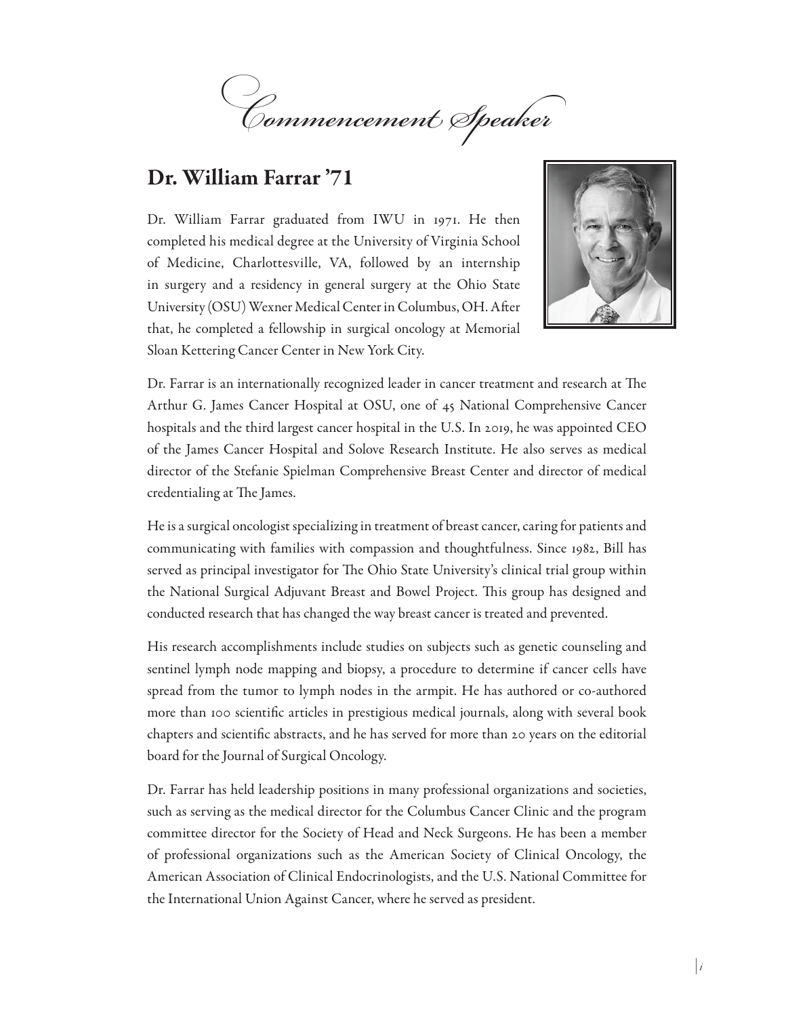

# Dr. William Farrar '71

Dr. William Farrar graduated from IWU in 1971. He then completed his medical degree at the University of Virginia School of Medicine, Charlottesville, VA, followed by an internship in surgery and a residency in general surgery at the Ohio State University (OSU) Wexner Medical Center in Columbus, OH. After that, he completed a fellowship in surgical oncology at Memorial Sloan Kettering Cancer Center in New York City.



Dr. Farrar is an internationally recognized leader in cancer treatment and research at The Arthur G. James Cancer Hospital at OSU, one of 45 National Comprehensive Cancer hospitals and the third largest cancer hospital in the U.S. In 2019, he was appointed CEO of the James Cancer Hospital and Solove Research Institute. He also serves as medical director of the Stefanie Spielman Comprehensive Breast Center and director of medical credentialing at The James.

He is a surgical oncologist specializing in treatment of breast cancer, caring for patients and communicating with families with compassion and thoughtfulness. Since 1982, Bill has served as principal investigator for The Ohio State University's clinical trial group within the National Surgical Adjuvant Breast and Bowel Project. This group has designed and conducted research that has changed the way breast cancer is treated and prevented.

His research accomplishments include studies on subjects such as genetic counseling and sentinel lymph node mapping and biopsy, a procedure to determine if cancer cells have spread from the tumor to lymph nodes in the armpit. He has authored or co-authored more than 100 scientific articles in prestigious medical journals, along with several book chapters and scientific abstracts, and he has served for more than 20 years on the editorial board for the Journal of Surgical Oncology.

Dr. Farrar has held leadership positions in many professional organizations and societies, such as serving as the medical director for the Columbus Cancer Clinic and the program committee director for the Society of Head and Neck Surgeons. He has been a member of professional organizations such as the American Society of Clinical Oncology, the American Association of Clinical Endocrinologists, and the U.S. National Committee for the International Union Against Cancer, where he served as president.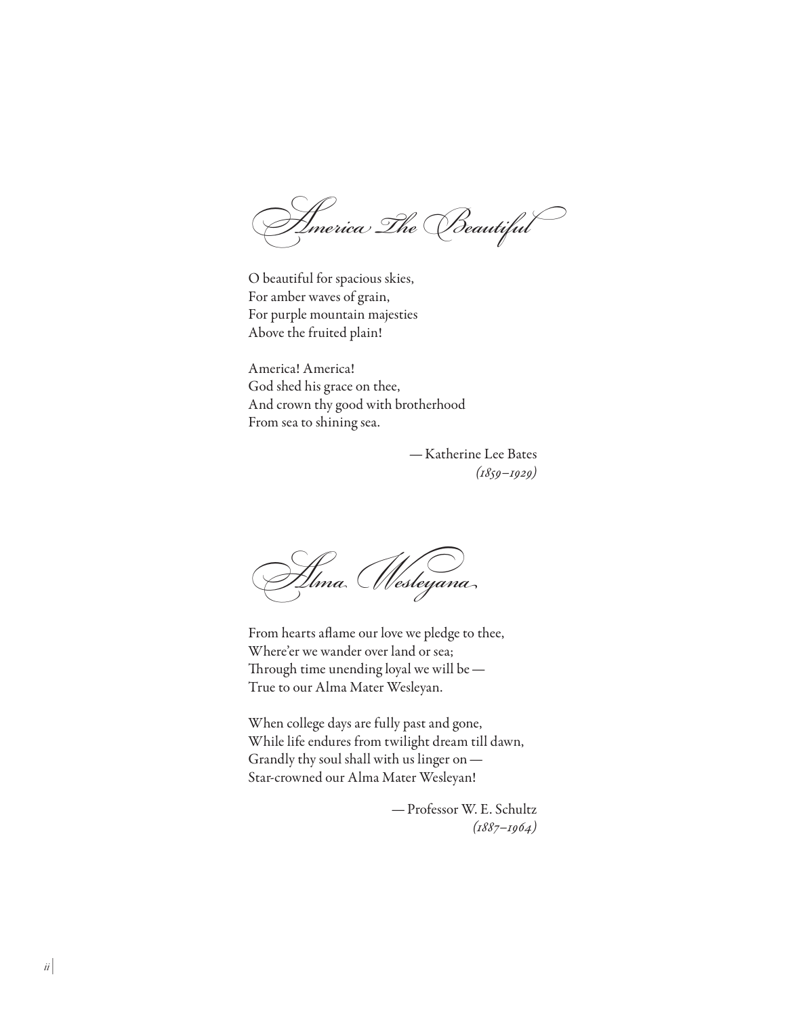*America The Beautiful*

O beautiful for spacious skies, For amber waves of grain, For purple mountain majesties Above the fruited plain!

America! America! God shed his grace on thee, And crown thy good with brotherhood From sea to shining sea.

> —Katherine Lee Bates *(1859–1929)*

*Alma Wesleyana*

From hearts aflame our love we pledge to thee, Where'er we wander over land or sea; Through time unending loyal we will be— True to our Alma Mater Wesleyan.

When college days are fully past and gone, While life endures from twilight dream till dawn, Grandly thy soul shall with us linger on— Star-crowned our Alma Mater Wesleyan!

> —Professor W. E. Schultz *(1887–1964)*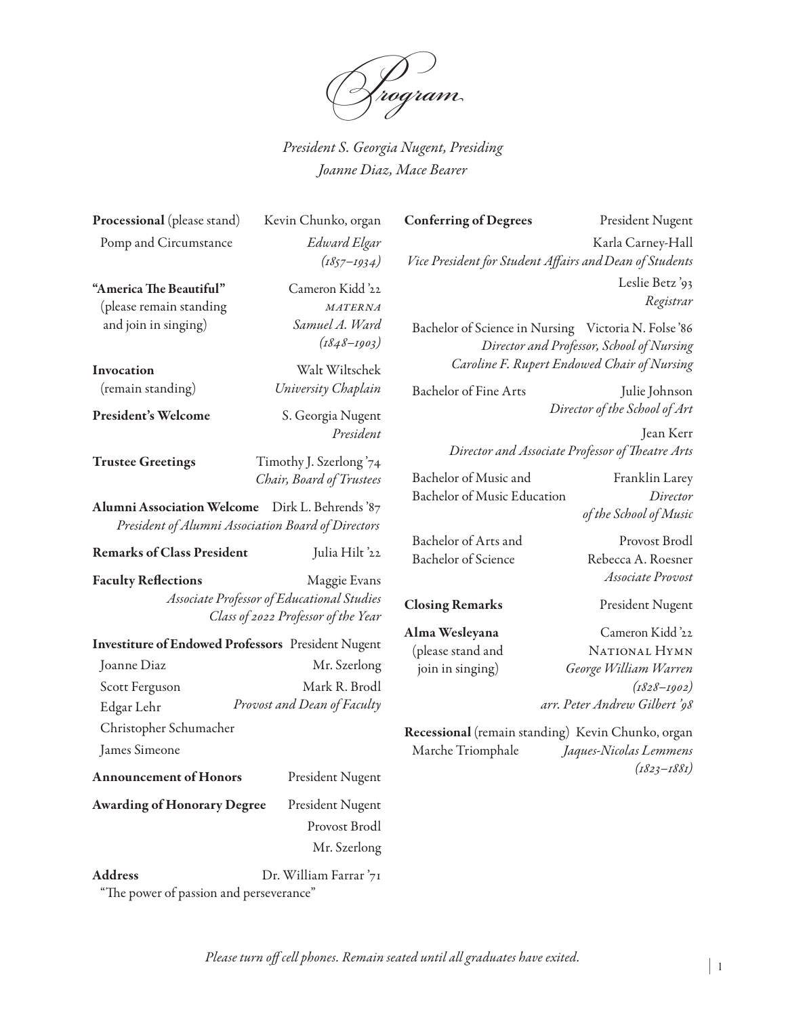

*President S. Georgia Nugent, Presiding Joanne Diaz, Mace Bearer*

*(1857–1934)*

 *(1848–1903)*

*President*

*Chair, Board of Trustees*

Processional (please stand) Kevin Chunko, organ Pomp and Circumstance *Edward Elgar*

"America The Beautiful" Cameron Kidd '22 (please remain standing *materna* and join in singing) *Samuel A. Ward*

Invocation Walt Wiltschek (remain standing) *University Chaplain* 

President's Welcome S. Georgia Nugent

Trustee Greetings Timothy J. Szerlong '74

Alumni Association Welcome Dirk L. Behrends '87 *President of Alumni Association Board of Directors*

#### Remarks of Class President Julia Hilt '22

Faculty Reflections Maggie Evans *Associate Professor of Educational Studies Class of 2022 Professor of the Year*

Investiture of Endowed Professors President Nugent Joanne Diaz Mr. Szerlong Scott Ferguson Mark R. Brodl Edgar Lehr *Provost and Dean of Faculty* Christopher Schumacher James Simeone Announcement of Honors President Nugent

Awarding of Honorary Degree President Nugent

 Provost Brodl Mr. Szerlong

Address Dr. William Farrar '71

"The power of passion and perseverance"

Conferring of Degrees President Nugent Karla Carney-Hall *Vice President for Student Affairs andDean of Students* Leslie Betz '93 *Registrar*

Bachelor of Science in Nursing Victoria N. Folse '86 *Director and Professor, School of Nursing Caroline F. Rupert Endowed Chair of Nursing*

Bachelor of Fine Arts Julie Johnson *Director of the School of Art* 

> Jean Kerr  *Director and Associate Professor of Theatre Arts*

Bachelor of Music and Franklin Larey Bachelor of Music Education *Director of the School of Music*

Bachelor of Arts and Provost Brodl Bachelor of Science Rebecca A. Roesner

 *Associate Provost* Closing Remarks President Nugent

Alma Wesleyana Cameron Kidd '22 (please stand and NATIONAL HYMN join in singing) *George William Warren (1828–1902) arr. Peter Andrew Gilbert '98*

Recessional (remain standing) Kevin Chunko, organ Marche Triomphale *Jaques-Nicolas Lemmens (1823–1881)*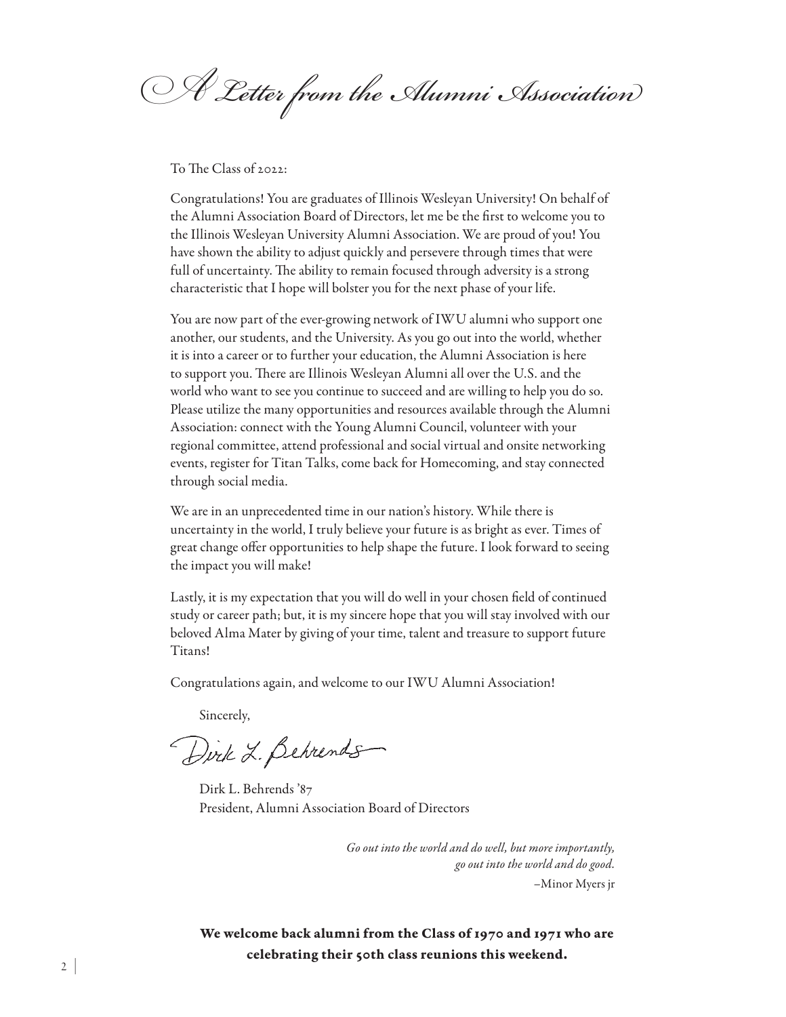*A Letter from the Alumni Association*

To The Class of 2022:

Congratulations! You are graduates of Illinois Wesleyan University! On behalf of the Alumni Association Board of Directors, let me be the first to welcome you to the Illinois Wesleyan University Alumni Association. We are proud of you! You have shown the ability to adjust quickly and persevere through times that were full of uncertainty. The ability to remain focused through adversity is a strong characteristic that I hope will bolster you for the next phase of your life.

You are now part of the ever-growing network of IWU alumni who support one another, our students, and the University. As you go out into the world, whether it is into a career or to further your education, the Alumni Association is here to support you. There are Illinois Wesleyan Alumni all over the U.S. and the world who want to see you continue to succeed and are willing to help you do so. Please utilize the many opportunities and resources available through the Alumni Association: connect with the Young Alumni Council, volunteer with your regional committee, attend professional and social virtual and onsite networking events, register for Titan Talks, come back for Homecoming, and stay connected through social media.

We are in an unprecedented time in our nation's history. While there is uncertainty in the world, I truly believe your future is as bright as ever. Times of great change offer opportunities to help shape the future. I look forward to seeing the impact you will make!

Lastly, it is my expectation that you will do well in your chosen field of continued study or career path; but, it is my sincere hope that you will stay involved with our beloved Alma Mater by giving of your time, talent and treasure to support future Titans!

Congratulations again, and welcome to our IWU Alumni Association!

Sincerely,

Dirk L. Behrends

Dirk L. Behrends '87 President, Alumni Association Board of Directors

*Go out into the world and do well, but more importantly, go out into the world and do good.* –Minor Myers jr

We welcome back alumni from the Class of 1970 and 1971 who are celebrating their 50th class reunions this weekend.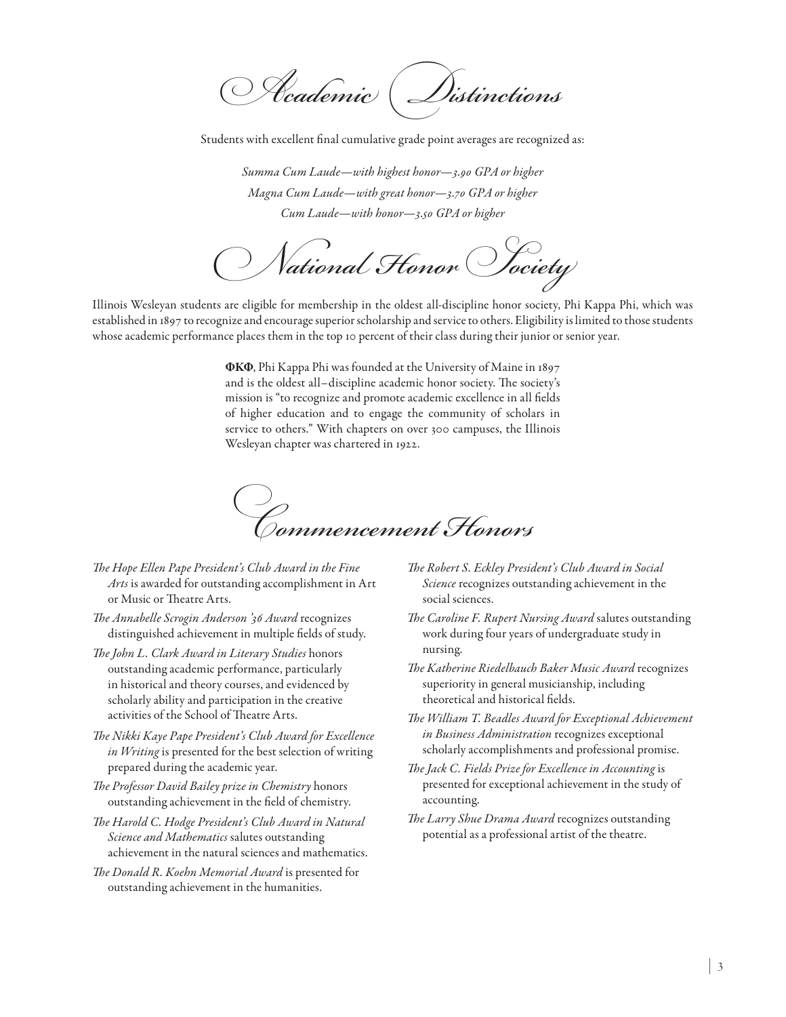*Academic Distinctions*

Students with excellent final cumulative grade point averages are recognized as:

*Summa Cum Laude—with highest honor—3.90 GPA or higher Magna Cum Laude—with great honor—3.70 GPA or higher Cum Laude—with honor—3.50 GPA or higher*

*National Honor Society*

Illinois Wesleyan students are eligible for membership in the oldest all-discipline honor society, Phi Kappa Phi, which was established in 1897 to recognize and encourage superior scholarship and service to others. Eligibility is limited to those students whose academic performance places them in the top 10 percent of their class during their junior or senior year.

> ΦΚΦ, Phi Kappa Phi was founded at the University of Maine in 1897 and is the oldest all–discipline academic honor society. The society's mission is "to recognize and promote academic excellence in all fields of higher education and to engage the community of scholars in service to others." With chapters on over 300 campuses, the Illinois Wesleyan chapter was chartered in 1922.



- *The Hope Ellen Pape President's Club Award in the Fine Arts* is awarded for outstanding accomplishment in Art or Music or Theatre Arts.
- *The Annabelle Scrogin Anderson '36 Award* recognizes distinguished achievement in multiple fields of study.
- *The John L. Clark Award in Literary Studies* honors outstanding academic performance, particularly in historical and theory courses, and evidenced by scholarly ability and participation in the creative activities of the School of Theatre Arts.
- *The Nikki Kaye Pape President's Club Award for Excellence in Writing* is presented for the best selection of writing prepared during the academic year.
- *The Professor David Bailey prize in Chemistry* honors outstanding achievement in the field of chemistry.
- *The Harold C. Hodge President's Club Award in Natural Science and Mathematics* salutes outstanding achievement in the natural sciences and mathematics.
- *The Donald R. Koehn Memorial Award* is presented for outstanding achievement in the humanities.
- *The Robert S. Eckley President's Club Award in Social Science* recognizes outstanding achievement in the social sciences.
- *The Caroline F. Rupert Nursing Award* salutes outstanding work during four years of undergraduate study in nursing.
- *The Katherine Riedelbauch Baker Music Award* recognizes superiority in general musicianship, including theoretical and historical fields.
- *The William T. Beadles Award for Exceptional Achievement in Business Administration* recognizes exceptional scholarly accomplishments and professional promise.
- *The Jack C. Fields Prize for Excellence in Accounting* is presented for exceptional achievement in the study of accounting.
- *The Larry Shue Drama Award* recognizes outstanding potential as a professional artist of the theatre.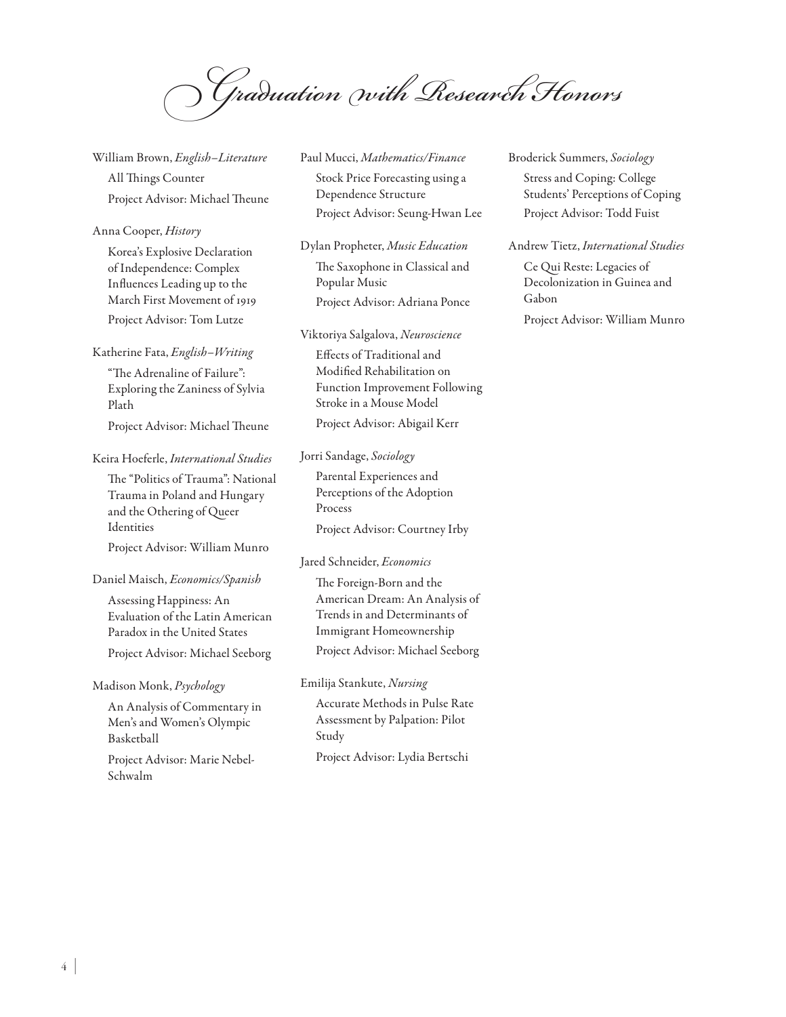*Graduation with Research Honors*

William Brown, *English–Literature* All Things Counter Project Advisor: Michael Theune

#### Anna Cooper, *History*

Korea's Explosive Declaration of Independence: Complex Influences Leading up to the March First Movement of 1919 Project Advisor: Tom Lutze

### Katherine Fata, *English–Writing*

"The Adrenaline of Failure": Exploring the Zaniness of Sylvia Plath

Project Advisor: Michael Theune

## Keira Hoeferle, *International Studies*

The "Politics of Trauma": National Trauma in Poland and Hungary and the Othering of Queer Identities Project Advisor: William Munro

#### Daniel Maisch, *Economics/Spanish*

Assessing Happiness: An Evaluation of the Latin American Paradox in the United States

Project Advisor: Michael Seeborg

#### Madison Monk, *Psychology*

An Analysis of Commentary in Men's and Women's Olympic Basketball

Project Advisor: Marie Nebel-Schwalm

## Paul Mucci, *Mathematics/Finance* Stock Price Forecasting using a Dependence Structure Project Advisor: Seung-Hwan Lee

Dylan Propheter, *Music Education* The Saxophone in Classical and Popular Music Project Advisor: Adriana Ponce

#### Viktoriya Salgalova, *Neuroscience*

Effects of Traditional and Modified Rehabilitation on Function Improvement Following Stroke in a Mouse Model

Project Advisor: Abigail Kerr

#### Jorri Sandage, *Sociology*

Parental Experiences and Perceptions of the Adoption Process

Project Advisor: Courtney Irby

#### Jared Schneider, *Economics*

The Foreign-Born and the American Dream: An Analysis of Trends in and Determinants of Immigrant Homeownership Project Advisor: Michael Seeborg

Emilija Stankute, *Nursing*

Accurate Methods in Pulse Rate Assessment by Palpation: Pilot Study

Project Advisor: Lydia Bertschi

Broderick Summers, *Sociology*

Stress and Coping: College Students' Perceptions of Coping Project Advisor: Todd Fuist

#### Andrew Tietz, *International Studies*

Ce Qui Reste: Legacies of Decolonization in Guinea and Gabon

Project Advisor: William Munro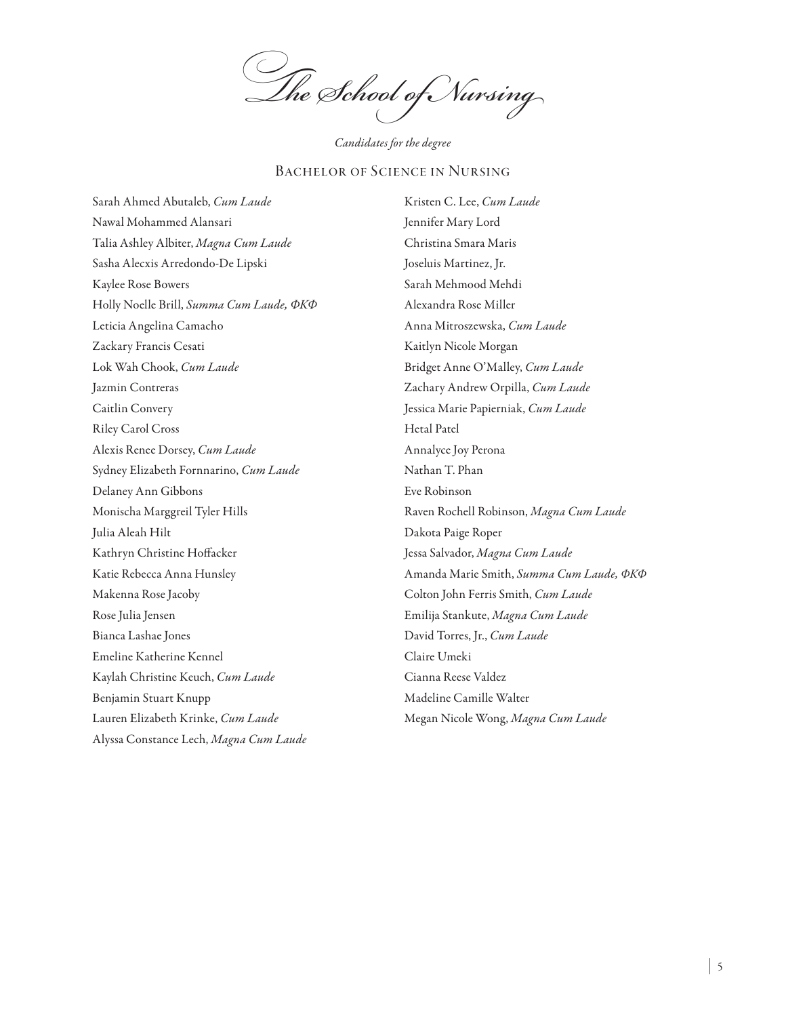*The School of Nursing*

*Candidates for the degree*

#### Bachelor of Science in Nursing

Sarah Ahmed Abutaleb, *Cum Laude*  Nawal Mohammed Alansari Talia Ashley Albiter, *Magna Cum Laude*  Sasha Alecxis Arredondo-De Lipski Kaylee Rose Bowers Holly Noelle Brill, *Summa Cum Laude, ΦΚΦ* Leticia Angelina Camacho Zackary Francis Cesati Lok Wah Chook, *Cum Laude*  Jazmin Contreras Caitlin Convery Riley Carol Cross Alexis Renee Dorsey, *Cum Laude*  Sydney Elizabeth Fornnarino, *Cum Laude*  Delaney Ann Gibbons Monischa Marggreil Tyler Hills Julia Aleah Hilt Kathryn Christine Hoffacker Katie Rebecca Anna Hunsley Makenna Rose Jacoby Rose Julia Jensen Bianca Lashae Jones Emeline Katherine Kennel Kaylah Christine Keuch, *Cum Laude* Benjamin Stuart Knupp Lauren Elizabeth Krinke, *Cum Laude*  Alyssa Constance Lech, *Magna Cum Laude* 

Kristen C. Lee, *Cum Laude* Jennifer Mary Lord Christina Smara Maris Joseluis Martinez, Jr. Sarah Mehmood Mehdi Alexandra Rose Miller Anna Mitroszewska, *Cum Laude*  Kaitlyn Nicole Morgan Bridget Anne O'Malley, *Cum Laude*  Zachary Andrew Orpilla, *Cum Laude*  Jessica Marie Papierniak, *Cum Laude*  Hetal Patel Annalyce Joy Perona Nathan T. Phan Eve Robinson Raven Rochell Robinson, *Magna Cum Laude*  Dakota Paige Roper Jessa Salvador, *Magna Cum Laude*  Amanda Marie Smith, *Summa Cum Laude, ΦΚΦ* Colton John Ferris Smith, *Cum Laude* Emilija Stankute, *Magna Cum Laude*  David Torres, Jr., *Cum Laude*  Claire Umeki Cianna Reese Valdez Madeline Camille Walter Megan Nicole Wong, *Magna Cum Laude*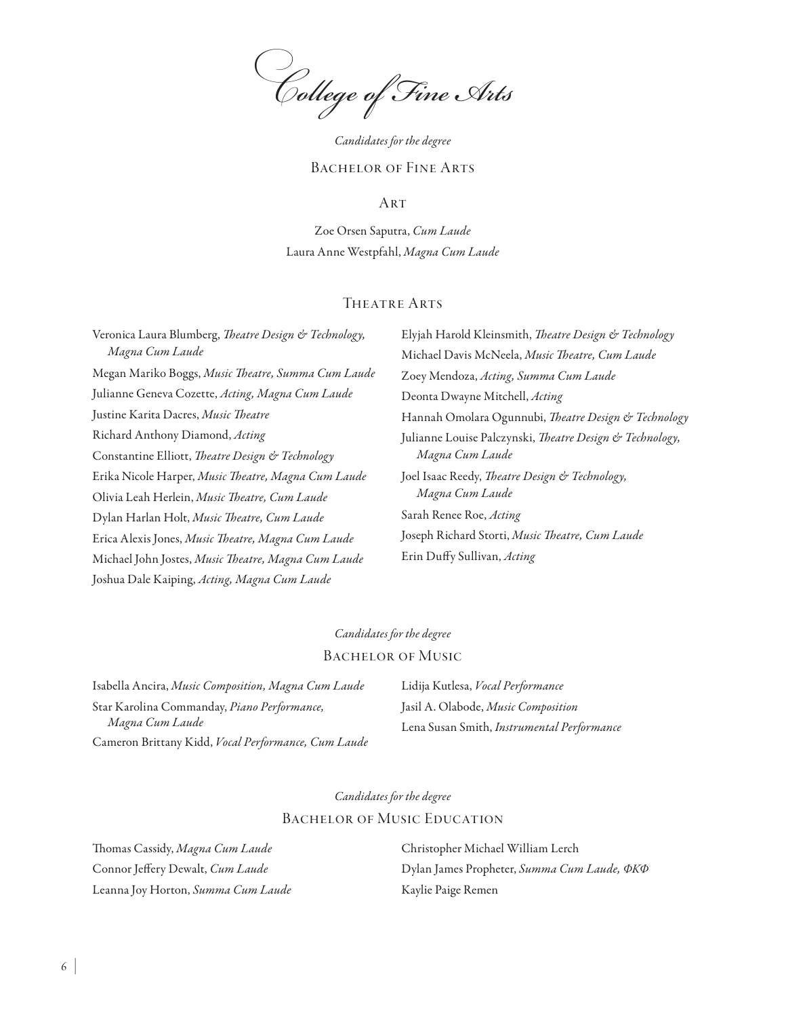*College of Fine Arts*

*Candidates for the degree*

#### Bachelor of Fine Arts

**ART** 

Zoe Orsen Saputra, *Cum Laude* Laura Anne Westpfahl, *Magna Cum Laude*

#### THEATRE ARTS

Veronica Laura Blumberg, *Theatre Design & Technology, Magna Cum Laude* Megan Mariko Boggs, *Music Theatre, Summa Cum Laude* Julianne Geneva Cozette, *Acting, Magna Cum Laude* Justine Karita Dacres, *Music Theatre* Richard Anthony Diamond, *Acting* Constantine Elliott, *Theatre Design & Technology* Erika Nicole Harper, *Music Theatre, Magna Cum Laude* Olivia Leah Herlein, *Music Theatre, Cum Laude* Dylan Harlan Holt, *Music Theatre, Cum Laude* Erica Alexis Jones, *Music Theatre, Magna Cum Laude* Michael John Jostes, *Music Theatre, Magna Cum Laude* Joshua Dale Kaiping, *Acting, Magna Cum Laude*

Elyjah Harold Kleinsmith, *Theatre Design & Technology* Michael Davis McNeela, *Music Theatre, Cum Laude* Zoey Mendoza, *Acting, Summa Cum Laude* Deonta Dwayne Mitchell, *Acting* Hannah Omolara Ogunnubi, *Theatre Design & Technology* Julianne Louise Palczynski, *Theatre Design & Technology, Magna Cum Laude* Joel Isaac Reedy, *Theatre Design & Technology, Magna Cum Laude* Sarah Renee Roe, *Acting* Joseph Richard Storti, *Music Theatre, Cum Laude* Erin Duffy Sullivan, *Acting*

### *Candidates for the degree*

#### Bachelor of Music

Isabella Ancira, *Music Composition, Magna Cum Laude* Star Karolina Commanday, *Piano Performance, Magna Cum Laude* Cameron Brittany Kidd, *Vocal Performance, Cum Laude* Lidija Kutlesa, *Vocal Performance* Jasil A. Olabode, *Music Composition* Lena Susan Smith, *Instrumental Performance*

*Candidates for the degree*

#### Bachelor of Music Education

Thomas Cassidy, *Magna Cum Laude*  Connor Jeffery Dewalt, *Cum Laude*  Leanna Joy Horton, *Summa Cum Laude*  Christopher Michael William Lerch Dylan James Propheter, *Summa Cum Laude, ΦΚΦ* Kaylie Paige Remen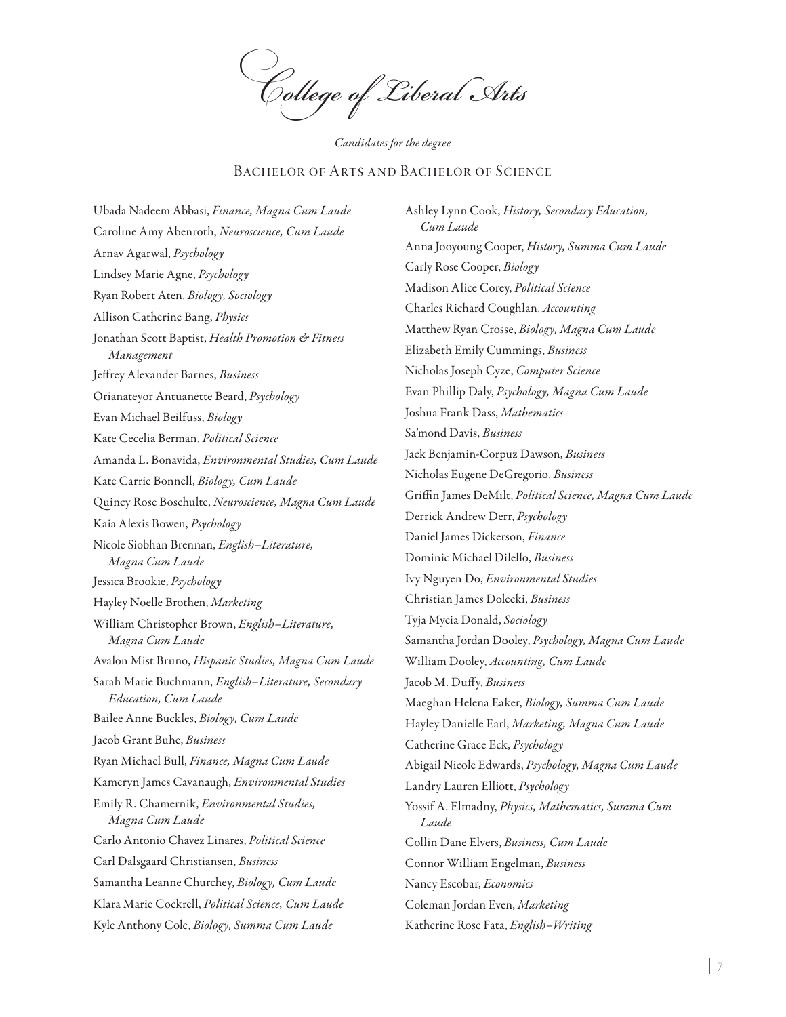*College of Liberal Arts*

*Candidates for the degree*

### Bachelor of Arts and Bachelor of Science

Ubada Nadeem Abbasi, *Finance, Magna Cum Laude*  Caroline Amy Abenroth, *Neuroscience, Cum Laude* Arnav Agarwal, *Psychology* Lindsey Marie Agne, *Psychology* Ryan Robert Aten, *Biology, Sociology* Allison Catherine Bang, *Physics* Jonathan Scott Baptist, *Health Promotion & Fitness Management* Jeffrey Alexander Barnes, *Business* Orianateyor Antuanette Beard, *Psychology* Evan Michael Beilfuss, *Biology* Kate Cecelia Berman, *Political Science* Amanda L. Bonavida, *Environmental Studies, Cum Laude*  Kate Carrie Bonnell, *Biology, Cum Laude*  Quincy Rose Boschulte, *Neuroscience, Magna Cum Laude*  Kaia Alexis Bowen, *Psychology* Nicole Siobhan Brennan, *English–Literature, Magna Cum Laude*  Jessica Brookie, *Psychology* Hayley Noelle Brothen, *Marketing* William Christopher Brown, *English–Literature, Magna Cum Laude*  Avalon Mist Bruno, *Hispanic Studies, Magna Cum Laude*  Sarah Marie Buchmann, *English–Literature, Secondary Education, Cum Laude*  Bailee Anne Buckles, *Biology, Cum Laude* Jacob Grant Buhe, *Business* Ryan Michael Bull, *Finance, Magna Cum Laude*  Kameryn James Cavanaugh, *Environmental Studies* Emily R. Chamernik, *Environmental Studies, Magna Cum Laude*  Carlo Antonio Chavez Linares, *Political Science* Carl Dalsgaard Christiansen, *Business* Samantha Leanne Churchey, *Biology, Cum Laude*  Klara Marie Cockrell, *Political Science, Cum Laude* Kyle Anthony Cole, *Biology, Summa Cum Laude* 

Ashley Lynn Cook, *History, Secondary Education, Cum Laude*  Anna Jooyoung Cooper, *History, Summa Cum Laude*  Carly Rose Cooper, *Biology* Madison Alice Corey, *Political Science* Charles Richard Coughlan, *Accounting* Matthew Ryan Crosse, *Biology, Magna Cum Laude*  Elizabeth Emily Cummings, *Business* Nicholas Joseph Cyze, *Computer Science* Evan Phillip Daly, *Psychology, Magna Cum Laude*  Joshua Frank Dass, *Mathematics* Sa'mond Davis, *Business* Jack Benjamin-Corpuz Dawson, *Business* Nicholas Eugene DeGregorio, *Business* Griffin James DeMilt, *Political Science, Magna Cum Laude*  Derrick Andrew Derr, *Psychology* Daniel James Dickerson, *Finance* Dominic Michael Dilello, *Business* Ivy Nguyen Do, *Environmental Studies* Christian James Dolecki, *Business* Tyja Myeia Donald, *Sociology* Samantha Jordan Dooley, *Psychology, Magna Cum Laude*  William Dooley, *Accounting, Cum Laude*  Jacob M. Duffy, *Business* Maeghan Helena Eaker, *Biology, Summa Cum Laude*  Hayley Danielle Earl, *Marketing, Magna Cum Laude*  Catherine Grace Eck, *Psychology* Abigail Nicole Edwards, *Psychology, Magna Cum Laude*  Landry Lauren Elliott, *Psychology* Yossif A. Elmadny, *Physics, Mathematics, Summa Cum Laude*  Collin Dane Elvers, *Business, Cum Laude*  Connor William Engelman, *Business* Nancy Escobar, *Economics* Coleman Jordan Even, *Marketing* Katherine Rose Fata, *English–Writing*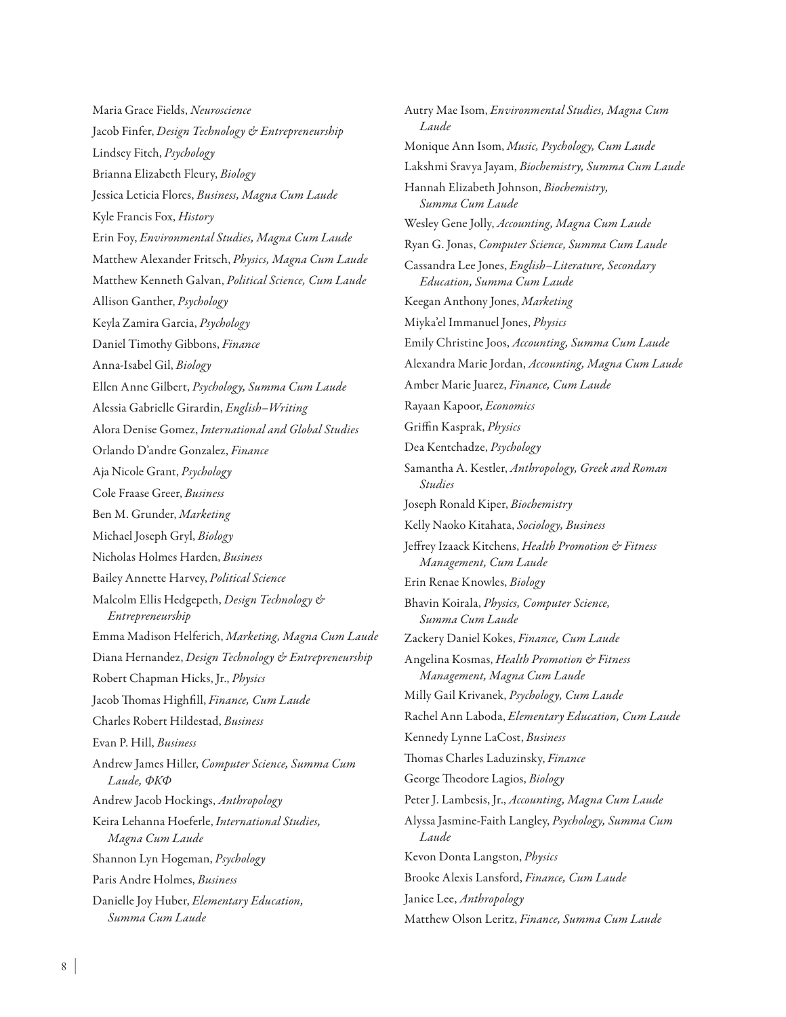Maria Grace Fields, *Neuroscience* Jacob Finfer, *Design Technology & Entrepreneurship* Lindsey Fitch, *Psychology* Brianna Elizabeth Fleury, *Biology* Jessica Leticia Flores, *Business, Magna Cum Laude*  Kyle Francis Fox, *History* Erin Foy, *Environmental Studies, Magna Cum Laude*  Matthew Alexander Fritsch, *Physics, Magna Cum Laude*  Matthew Kenneth Galvan, *Political Science, Cum Laude*  Allison Ganther, *Psychology* Keyla Zamira Garcia, *Psychology* Daniel Timothy Gibbons, *Finance* Anna-Isabel Gil, *Biology* Ellen Anne Gilbert, *Psychology, Summa Cum Laude*  Alessia Gabrielle Girardin, *English–Writing* Alora Denise Gomez, *International and Global Studies* Orlando D'andre Gonzalez, *Finance* Aja Nicole Grant, *Psychology* Cole Fraase Greer, *Business* Ben M. Grunder, *Marketing* Michael Joseph Gryl, *Biology* Nicholas Holmes Harden, *Business* Bailey Annette Harvey, *Political Science* Malcolm Ellis Hedgepeth, *Design Technology & Entrepreneurship* Emma Madison Helferich, *Marketing, Magna Cum Laude*  Diana Hernandez, *Design Technology & Entrepreneurship* Robert Chapman Hicks, Jr., *Physics* Jacob Thomas Highfill, *Finance, Cum Laude*  Charles Robert Hildestad, *Business* Evan P. Hill, *Business* Andrew James Hiller, *Computer Science, Summa Cum Laude, ΦΚΦ* Andrew Jacob Hockings, *Anthropology* Keira Lehanna Hoeferle, *International Studies, Magna Cum Laude*  Shannon Lyn Hogeman, *Psychology* Paris Andre Holmes, *Business* Danielle Joy Huber, *Elementary Education, Summa Cum Laude* 

Autry Mae Isom, *Environmental Studies, Magna Cum Laude*  Monique Ann Isom, *Music, Psychology, Cum Laude*  Lakshmi Sravya Jayam, *Biochemistry, Summa Cum Laude*  Hannah Elizabeth Johnson, *Biochemistry, Summa Cum Laude*  Wesley Gene Jolly, *Accounting, Magna Cum Laude*  Ryan G. Jonas, *Computer Science, Summa Cum Laude*  Cassandra Lee Jones, *English–Literature, Secondary Education, Summa Cum Laude*  Keegan Anthony Jones, *Marketing* Miyka'el Immanuel Jones, *Physics* Emily Christine Joos, *Accounting, Summa Cum Laude*  Alexandra Marie Jordan, *Accounting, Magna Cum Laude*  Amber Marie Juarez, *Finance, Cum Laude*  Rayaan Kapoor, *Economics* Griffin Kasprak, *Physics* Dea Kentchadze, *Psychology* Samantha A. Kestler, *Anthropology, Greek and Roman Studies* Joseph Ronald Kiper, *Biochemistry* Kelly Naoko Kitahata, *Sociology, Business* Jeffrey Izaack Kitchens, *Health Promotion & Fitness Management, Cum Laude*  Erin Renae Knowles, *Biology* Bhavin Koirala, *Physics, Computer Science, Summa Cum Laude*  Zackery Daniel Kokes, *Finance, Cum Laude*  Angelina Kosmas, *Health Promotion & Fitness Management, Magna Cum Laude*  Milly Gail Krivanek, *Psychology, Cum Laude* Rachel Ann Laboda, *Elementary Education, Cum Laude*  Kennedy Lynne LaCost, *Business* Thomas Charles Laduzinsky, *Finance* George Theodore Lagios, *Biology* Peter J. Lambesis, Jr., *Accounting, Magna Cum Laude*  Alyssa Jasmine-Faith Langley, *Psychology, Summa Cum Laude*  Kevon Donta Langston, *Physics* Brooke Alexis Lansford, *Finance, Cum Laude*  Janice Lee, *Anthropology* Matthew Olson Leritz, *Finance, Summa Cum Laude*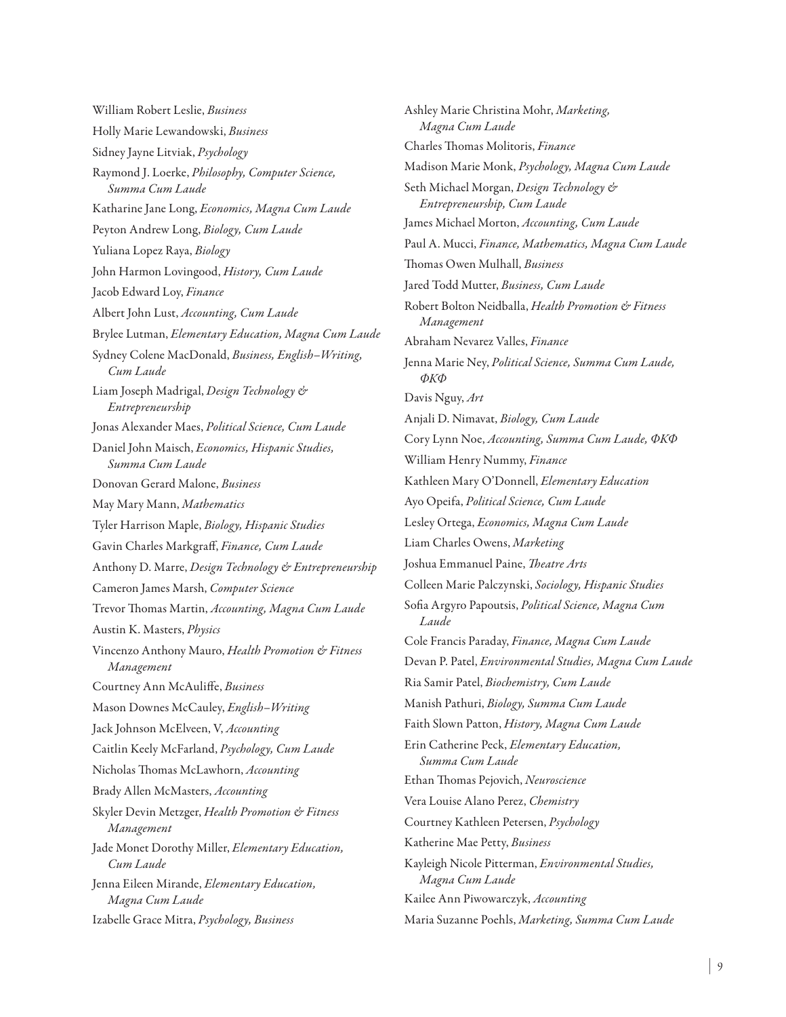William Robert Leslie, *Business* Holly Marie Lewandowski, *Business* Sidney Jayne Litviak, *Psychology* Raymond J. Loerke, *Philosophy, Computer Science, Summa Cum Laude*  Katharine Jane Long, *Economics, Magna Cum Laude*  Peyton Andrew Long, *Biology, Cum Laude*  Yuliana Lopez Raya, *Biology* John Harmon Lovingood, *History, Cum Laude* Jacob Edward Loy, *Finance* Albert John Lust, *Accounting, Cum Laude* Brylee Lutman, *Elementary Education, Magna Cum Laude*  Sydney Colene MacDonald, *Business, English–Writing, Cum Laude*  Liam Joseph Madrigal, *Design Technology & Entrepreneurship* Jonas Alexander Maes, *Political Science, Cum Laude*  Daniel John Maisch, *Economics, Hispanic Studies, Summa Cum Laude*  Donovan Gerard Malone, *Business* May Mary Mann, *Mathematics* Tyler Harrison Maple, *Biology, Hispanic Studies* Gavin Charles Markgraff, *Finance, Cum Laude*  Anthony D. Marre, *Design Technology & Entrepreneurship* Cameron James Marsh, *Computer Science* Trevor Thomas Martin, *Accounting, Magna Cum Laude*  Austin K. Masters, *Physics* Vincenzo Anthony Mauro, *Health Promotion & Fitness Management* Courtney Ann McAuliffe, *Business* Mason Downes McCauley, *English–Writing* Jack Johnson McElveen, V, *Accounting* Caitlin Keely McFarland, *Psychology, Cum Laude*  Nicholas Thomas McLawhorn, *Accounting* Brady Allen McMasters, *Accounting* Skyler Devin Metzger, *Health Promotion & Fitness Management* Jade Monet Dorothy Miller, *Elementary Education, Cum Laude*  Jenna Eileen Mirande, *Elementary Education, Magna Cum Laude*  Izabelle Grace Mitra, *Psychology, Business*

Ashley Marie Christina Mohr, *Marketing, Magna Cum Laude*  Charles Thomas Molitoris, *Finance* Madison Marie Monk, *Psychology, Magna Cum Laude*  Seth Michael Morgan, *Design Technology & Entrepreneurship, Cum Laude*  James Michael Morton, *Accounting, Cum Laude*  Paul A. Mucci, *Finance, Mathematics, Magna Cum Laude*  Thomas Owen Mulhall, *Business* Jared Todd Mutter, *Business, Cum Laude*  Robert Bolton Neidballa, *Health Promotion & Fitness Management* Abraham Nevarez Valles, *Finance* Jenna Marie Ney, *Political Science, Summa Cum Laude, ΦΚΦ* Davis Nguy, *Art* Anjali D. Nimavat, *Biology, Cum Laude*  Cory Lynn Noe, *Accounting, Summa Cum Laude, ΦΚΦ* William Henry Nummy, *Finance* Kathleen Mary O'Donnell, *Elementary Education* Ayo Opeifa, *Political Science, Cum Laude*  Lesley Ortega, *Economics, Magna Cum Laude* Liam Charles Owens, *Marketing* Joshua Emmanuel Paine, *Theatre Arts* Colleen Marie Palczynski, *Sociology, Hispanic Studies* Sofia Argyro Papoutsis, *Political Science, Magna Cum Laude*  Cole Francis Paraday, *Finance, Magna Cum Laude*  Devan P. Patel, *Environmental Studies, Magna Cum Laude*  Ria Samir Patel, *Biochemistry, Cum Laude* Manish Pathuri, *Biology, Summa Cum Laude*  Faith Slown Patton, *History, Magna Cum Laude*  Erin Catherine Peck, *Elementary Education, Summa Cum Laude*  Ethan Thomas Pejovich, *Neuroscience* Vera Louise Alano Perez, *Chemistry* Courtney Kathleen Petersen, *Psychology* Katherine Mae Petty, *Business* Kayleigh Nicole Pitterman, *Environmental Studies, Magna Cum Laude*  Kailee Ann Piwowarczyk, *Accounting* Maria Suzanne Poehls, *Marketing, Summa Cum Laude*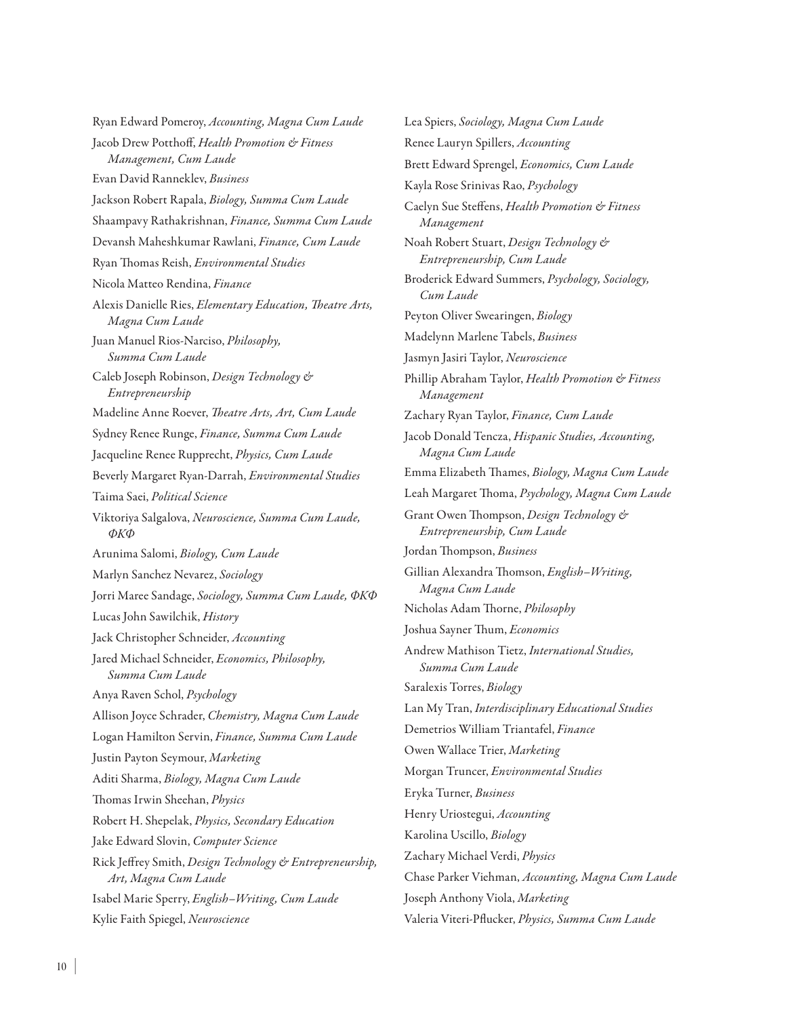Ryan Edward Pomeroy, *Accounting, Magna Cum Laude*  Jacob Drew Potthoff, *Health Promotion & Fitness Management, Cum Laude*  Evan David Ranneklev, *Business* Jackson Robert Rapala, *Biology, Summa Cum Laude*  Shaampavy Rathakrishnan, *Finance, Summa Cum Laude*  Devansh Maheshkumar Rawlani, *Finance, Cum Laude*  Ryan Thomas Reish, *Environmental Studies* Nicola Matteo Rendina, *Finance* Alexis Danielle Ries, *Elementary Education, Theatre Arts, Magna Cum Laude*  Juan Manuel Rios-Narciso, *Philosophy, Summa Cum Laude*  Caleb Joseph Robinson, *Design Technology & Entrepreneurship* Madeline Anne Roever, *Theatre Arts, Art, Cum Laude*  Sydney Renee Runge, *Finance, Summa Cum Laude*  Jacqueline Renee Rupprecht, *Physics, Cum Laude*  Beverly Margaret Ryan-Darrah, *Environmental Studies* Taima Saei, *Political Science* Viktoriya Salgalova, *Neuroscience, Summa Cum Laude, ΦΚΦ* Arunima Salomi, *Biology, Cum Laude*  Marlyn Sanchez Nevarez, *Sociology* Jorri Maree Sandage, *Sociology, Summa Cum Laude, ΦΚΦ* Lucas John Sawilchik, *History* Jack Christopher Schneider, *Accounting* Jared Michael Schneider, *Economics, Philosophy, Summa Cum Laude*  Anya Raven Schol, *Psychology* Allison Joyce Schrader, *Chemistry, Magna Cum Laude*  Logan Hamilton Servin, *Finance, Summa Cum Laude*  Justin Payton Seymour, *Marketing* Aditi Sharma, *Biology, Magna Cum Laude*  Thomas Irwin Sheehan, *Physics* Robert H. Shepelak, *Physics, Secondary Education* Jake Edward Slovin, *Computer Science* Rick Jeffrey Smith, *Design Technology & Entrepreneurship, Art, Magna Cum Laude*  Isabel Marie Sperry, *English–Writing, Cum Laude*  Kylie Faith Spiegel, *Neuroscience*

Lea Spiers, *Sociology, Magna Cum Laude*  Renee Lauryn Spillers, *Accounting* Brett Edward Sprengel, *Economics, Cum Laude*  Kayla Rose Srinivas Rao, *Psychology* Caelyn Sue Steffens, *Health Promotion & Fitness Management* Noah Robert Stuart, *Design Technology & Entrepreneurship, Cum Laude*  Broderick Edward Summers, *Psychology, Sociology, Cum Laude* Peyton Oliver Swearingen, *Biology* Madelynn Marlene Tabels, *Business* Jasmyn Jasiri Taylor, *Neuroscience* Phillip Abraham Taylor, *Health Promotion & Fitness Management* Zachary Ryan Taylor, *Finance, Cum Laude*  Jacob Donald Tencza, *Hispanic Studies, Accounting, Magna Cum Laude*  Emma Elizabeth Thames, *Biology, Magna Cum Laude*  Leah Margaret Thoma, *Psychology, Magna Cum Laude*  Grant Owen Thompson, *Design Technology & Entrepreneurship, Cum Laude* Jordan Thompson, *Business* Gillian Alexandra Thomson, *English–Writing, Magna Cum Laude*  Nicholas Adam Thorne, *Philosophy* Joshua Sayner Thum, *Economics* Andrew Mathison Tietz, *International Studies, Summa Cum Laude*  Saralexis Torres, *Biology* Lan My Tran, *Interdisciplinary Educational Studies* Demetrios William Triantafel, *Finance* Owen Wallace Trier, *Marketing* Morgan Truncer, *Environmental Studies* Eryka Turner, *Business* Henry Uriostegui, *Accounting* Karolina Uscillo, *Biology* Zachary Michael Verdi, *Physics* Chase Parker Viehman, *Accounting, Magna Cum Laude*  Joseph Anthony Viola, *Marketing* Valeria Viteri-Pflucker, *Physics, Summa Cum Laude*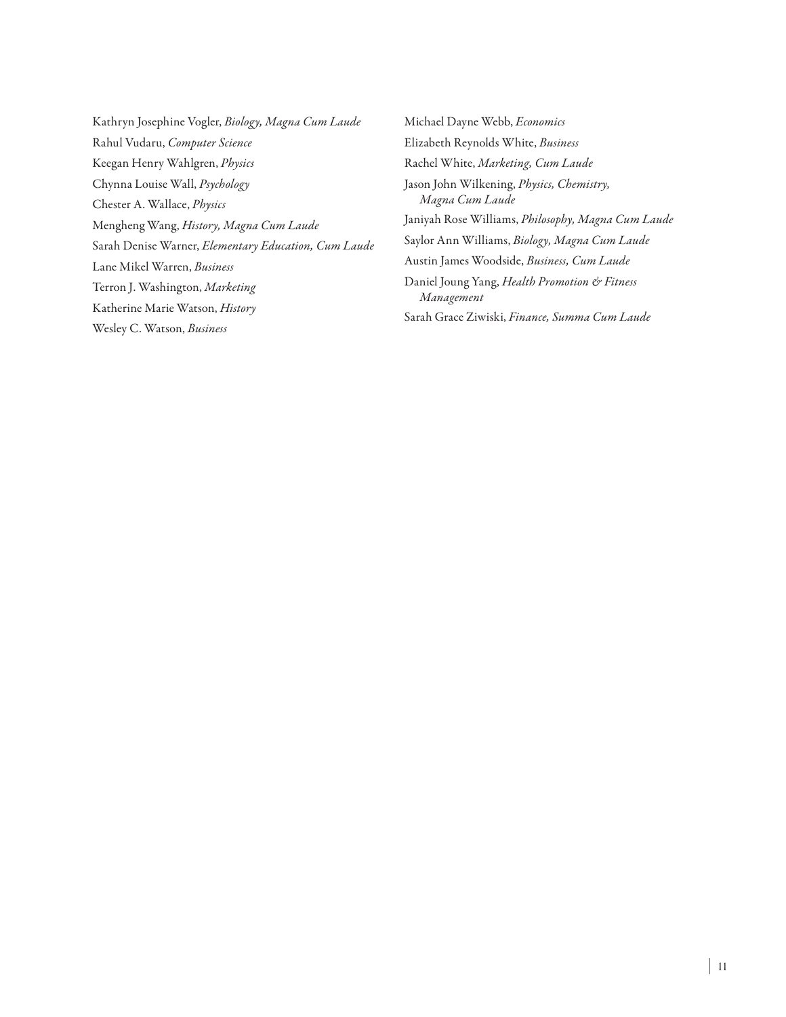- Kathryn Josephine Vogler, *Biology, Magna Cum Laude*  Rahul Vudaru, *Computer Science* Keegan Henry Wahlgren, *Physics* Chynna Louise Wall, *Psychology* Chester A. Wallace, *Physics* Mengheng Wang, *History, Magna Cum Laude*  Sarah Denise Warner, *Elementary Education, Cum Laude*  Lane Mikel Warren, *Business* Terron J. Washington, *Marketing* Katherine Marie Watson, *History* Wesley C. Watson, *Business*
- Michael Dayne Webb, *Economics* Elizabeth Reynolds White, *Business* Rachel White, *Marketing, Cum Laude*  Jason John Wilkening, *Physics, Chemistry, Magna Cum Laude*  Janiyah Rose Williams, *Philosophy, Magna Cum Laude*  Saylor Ann Williams, *Biology, Magna Cum Laude*  Austin James Woodside, *Business, Cum Laude* Daniel Joung Yang, *Health Promotion & Fitness Management* Sarah Grace Ziwiski, *Finance, Summa Cum Laude*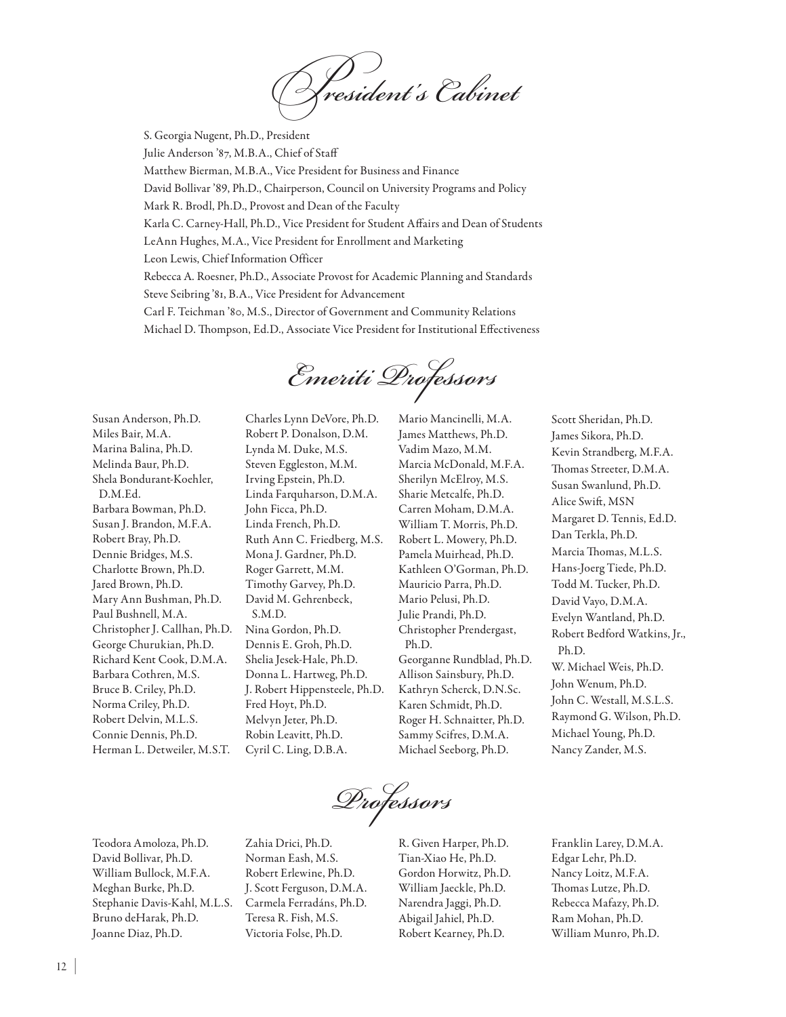*President's Cabinet*

S. Georgia Nugent, Ph.D., President Julie Anderson '87, M.B.A., Chief of Staff Matthew Bierman, M.B.A., Vice President for Business and Finance David Bollivar '89, Ph.D., Chairperson, Council on University Programs and Policy Mark R. Brodl, Ph.D., Provost and Dean of the Faculty Karla C. Carney-Hall, Ph.D., Vice President for Student Affairs and Dean of Students LeAnn Hughes, M.A., Vice President for Enrollment and Marketing Leon Lewis, Chief Information Officer Rebecca A. Roesner, Ph.D., Associate Provost for Academic Planning and Standards Steve Seibring '81, B.A., Vice President for Advancement Carl F. Teichman '80, M.S., Director of Government and Community Relations Michael D. Thompson, Ed.D., Associate Vice President for Institutional Effectiveness

*Emeriti Professors*

Susan Anderson, Ph.D. Miles Bair, M.A. Marina Balina, Ph.D. Melinda Baur, Ph.D. Shela Bondurant-Koehler, D.M.Ed. Barbara Bowman, Ph.D. Susan J. Brandon, M.F.A. Robert Bray, Ph.D. Dennie Bridges, M.S. Charlotte Brown, Ph.D. Jared Brown, Ph.D. Mary Ann Bushman, Ph.D. Paul Bushnell, M.A. Christopher J. Callhan, Ph.D. George Churukian, Ph.D. Richard Kent Cook, D.M.A. Barbara Cothren, M.S. Bruce B. Criley, Ph.D. Norma Criley, Ph.D. Robert Delvin, M.L.S. Connie Dennis, Ph.D. Herman L. Detweiler, M.S.T.

Charles Lynn DeVore, Ph.D. Robert P. Donalson, D.M. Lynda M. Duke, M.S. Steven Eggleston, M.M. Irving Epstein, Ph.D. Linda Farquharson, D.M.A. John Ficca, Ph.D. Linda French, Ph.D. Ruth Ann C. Friedberg, M.S. Mona J. Gardner, Ph.D. Roger Garrett, M.M. Timothy Garvey, Ph.D. David M. Gehrenbeck, S.M.D. Nina Gordon, Ph.D. Dennis E. Groh, Ph.D. Shelia Jesek-Hale, Ph.D. Donna L. Hartweg, Ph.D. J. Robert Hippensteele, Ph.D. Fred Hoyt, Ph.D. Melvyn Jeter, Ph.D. Robin Leavitt, Ph.D. Cyril C. Ling, D.B.A.

Mario Mancinelli, M.A. James Matthews, Ph.D. Vadim Mazo, M.M. Marcia McDonald, M.F.A. Sherilyn McElroy, M.S. Sharie Metcalfe, Ph.D. Carren Moham, D.M.A. William T. Morris, Ph.D. Robert L. Mowery, Ph.D. Pamela Muirhead, Ph.D. Kathleen O'Gorman, Ph.D. Mauricio Parra, Ph.D. Mario Pelusi, Ph.D. Julie Prandi, Ph.D. Christopher Prendergast, Ph.D. Georganne Rundblad, Ph.D. Allison Sainsbury, Ph.D. Kathryn Scherck, D.N.Sc. Karen Schmidt, Ph.D. Roger H. Schnaitter, Ph.D. Sammy Scifres, D.M.A. Michael Seeborg, Ph.D.

Scott Sheridan, Ph.D. James Sikora, Ph.D. Kevin Strandberg, M.F.A. Thomas Streeter, D.M.A. Susan Swanlund, Ph.D. Alice Swift, MSN Margaret D. Tennis, Ed.D. Dan Terkla, Ph.D. Marcia Thomas, M.L.S. Hans-Joerg Tiede, Ph.D. Todd M. Tucker, Ph.D. David Vayo, D.M.A. Evelyn Wantland, Ph.D. Robert Bedford Watkins, Jr., Ph.D. W. Michael Weis, Ph.D. John Wenum, Ph.D. John C. Westall, M.S.L.S. Raymond G. Wilson, Ph.D. Michael Young, Ph.D. Nancy Zander, M.S.

*Professors*

Teodora Amoloza, Ph.D. David Bollivar, Ph.D. William Bullock, M.F.A. Meghan Burke, Ph.D. Stephanie Davis-Kahl, M.L.S. Bruno deHarak, Ph.D. Joanne Diaz, Ph.D.

Zahia Drici, Ph.D. Norman Eash, M.S. Robert Erlewine, Ph.D. J. Scott Ferguson, D.M.A. Carmela Ferradáns, Ph.D. Teresa R. Fish, M.S. Victoria Folse, Ph.D.

R. Given Harper, Ph.D. Tian-Xiao He, Ph.D. Gordon Horwitz, Ph.D. William Jaeckle, Ph.D. Narendra Jaggi, Ph.D. Abigail Jahiel, Ph.D. Robert Kearney, Ph.D.

Franklin Larey, D.M.A. Edgar Lehr, Ph.D. Nancy Loitz, M.F.A. Thomas Lutze, Ph.D. Rebecca Mafazy, Ph.D. Ram Mohan, Ph.D. William Munro, Ph.D.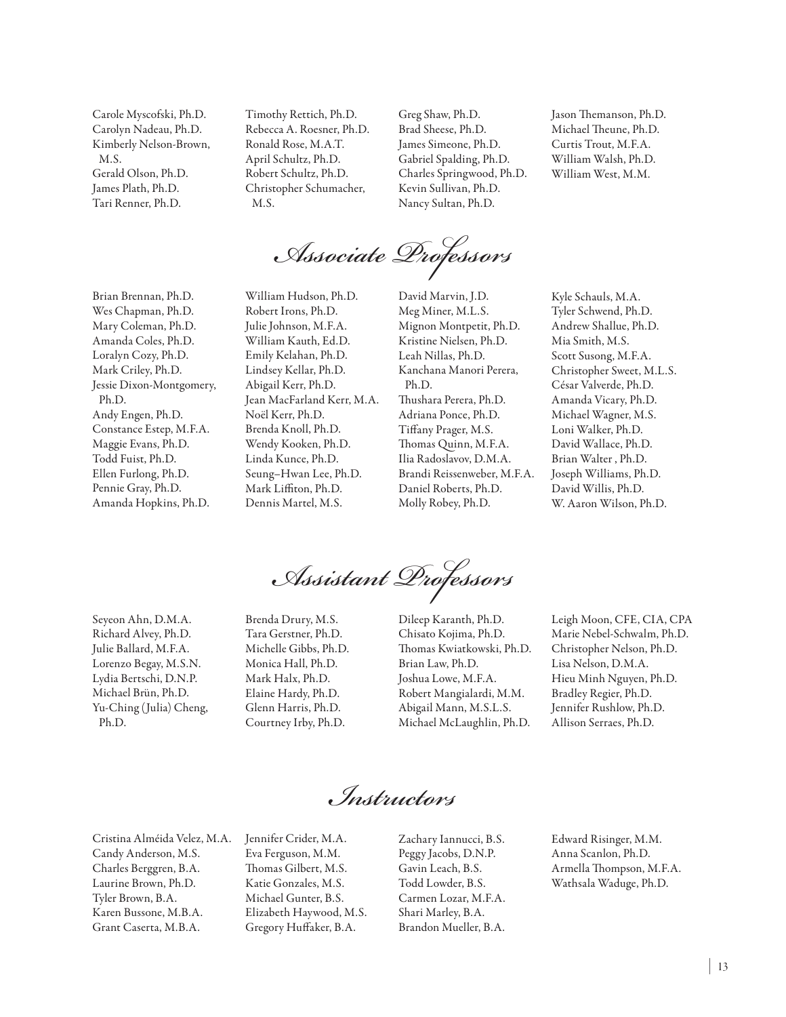Carole Myscofski, Ph.D. Carolyn Nadeau, Ph.D. Kimberly Nelson-Brown, M.S. Gerald Olson, Ph.D. James Plath, Ph.D. Tari Renner, Ph.D.

Timothy Rettich, Ph.D. Rebecca A. Roesner, Ph.D. Ronald Rose, M.A.T. April Schultz, Ph.D. Robert Schultz, Ph.D. Christopher Schumacher, M.S.

Greg Shaw, Ph.D. Brad Sheese, Ph.D. James Simeone, Ph.D. Gabriel Spalding, Ph.D. Charles Springwood, Ph.D. Kevin Sullivan, Ph.D. Nancy Sultan, Ph.D.

Jason Themanson, Ph.D. Michael Theune, Ph.D. Curtis Trout, M.F.A. William Walsh, Ph.D. William West, M.M.

*Associate Professors*

Brian Brennan, Ph.D. Wes Chapman, Ph.D. Mary Coleman, Ph.D. Amanda Coles, Ph.D. Loralyn Cozy, Ph.D. Mark Criley, Ph.D. Jessie Dixon-Montgomery, Ph.D. Andy Engen, Ph.D. Constance Estep, M.F.A. Maggie Evans, Ph.D. Todd Fuist, Ph.D. Ellen Furlong, Ph.D. Pennie Gray, Ph.D. Amanda Hopkins, Ph.D.

William Hudson, Ph.D. Robert Irons, Ph.D. Julie Johnson, M.F.A. William Kauth, Ed.D. Emily Kelahan, Ph.D. Lindsey Kellar, Ph.D. Abigail Kerr, Ph.D. Jean MacFarland Kerr, M.A. Noël Kerr, Ph.D. Brenda Knoll, Ph.D. Wendy Kooken, Ph.D. Linda Kunce, Ph.D. Seung–Hwan Lee, Ph.D. Mark Liffiton, Ph.D. Dennis Martel, M.S.

David Marvin, J.D. Meg Miner, M.L.S. Mignon Montpetit, Ph.D. Kristine Nielsen, Ph.D. Leah Nillas, Ph.D. Kanchana Manori Perera, Ph.D. Thushara Perera, Ph.D. Adriana Ponce, Ph.D. Tiffany Prager, M.S. Thomas Quinn, M.F.A. Ilia Radoslavov, D.M.A. Brandi Reissenweber, M.F.A. Daniel Roberts, Ph.D. Molly Robey, Ph.D.

Kyle Schauls, M.A. Tyler Schwend, Ph.D. Andrew Shallue, Ph.D. Mia Smith, M.S. Scott Susong, M.F.A. Christopher Sweet, M.L.S. César Valverde, Ph.D. Amanda Vicary, Ph.D. Michael Wagner, M.S. Loni Walker, Ph.D. David Wallace, Ph.D. Brian Walter , Ph.D. Joseph Williams, Ph.D. David Willis, Ph.D. W. Aaron Wilson, Ph.D.

Seyeon Ahn, D.M.A. Richard Alvey, Ph.D. Julie Ballard, M.F.A. Lorenzo Begay, M.S.N. Lydia Bertschi, D.N.P. Michael Brün, Ph.D. Yu-Ching (Julia) Cheng, Ph.D.

Brenda Drury, M.S. Tara Gerstner, Ph.D. Michelle Gibbs, Ph.D. Monica Hall, Ph.D. Mark Halx, Ph.D. Elaine Hardy, Ph.D. Glenn Harris, Ph.D. Courtney Irby, Ph.D.

*Assistant Professors* Dileep Karanth, Ph.D. Chisato Kojima, Ph.D.

Thomas Kwiatkowski, Ph.D. Brian Law, Ph.D. Joshua Lowe, M.F.A. Robert Mangialardi, M.M. Abigail Mann, M.S.L.S. Michael McLaughlin, Ph.D. Leigh Moon, CFE, CIA, CPA Marie Nebel-Schwalm, Ph.D. Christopher Nelson, Ph.D. Lisa Nelson, D.M.A. Hieu Minh Nguyen, Ph.D. Bradley Regier, Ph.D. Jennifer Rushlow, Ph.D. Allison Serraes, Ph.D.

*Instructors*

Cristina Alméida Velez, M.A. Candy Anderson, M.S. Charles Berggren, B.A. Laurine Brown, Ph.D. Tyler Brown, B.A. Karen Bussone, M.B.A. Grant Caserta, M.B.A.

Jennifer Crider, M.A. Eva Ferguson, M.M. Thomas Gilbert, M.S. Katie Gonzales, M.S. Michael Gunter, B.S. Elizabeth Haywood, M.S. Gregory Huffaker, B.A.

Zachary Iannucci, B.S. Peggy Jacobs, D.N.P. Gavin Leach, B.S. Todd Lowder, B.S. Carmen Lozar, M.F.A. Shari Marley, B.A. Brandon Mueller, B.A.

Edward Risinger, M.M. Anna Scanlon, Ph.D. Armella Thompson, M.F.A. Wathsala Waduge, Ph.D.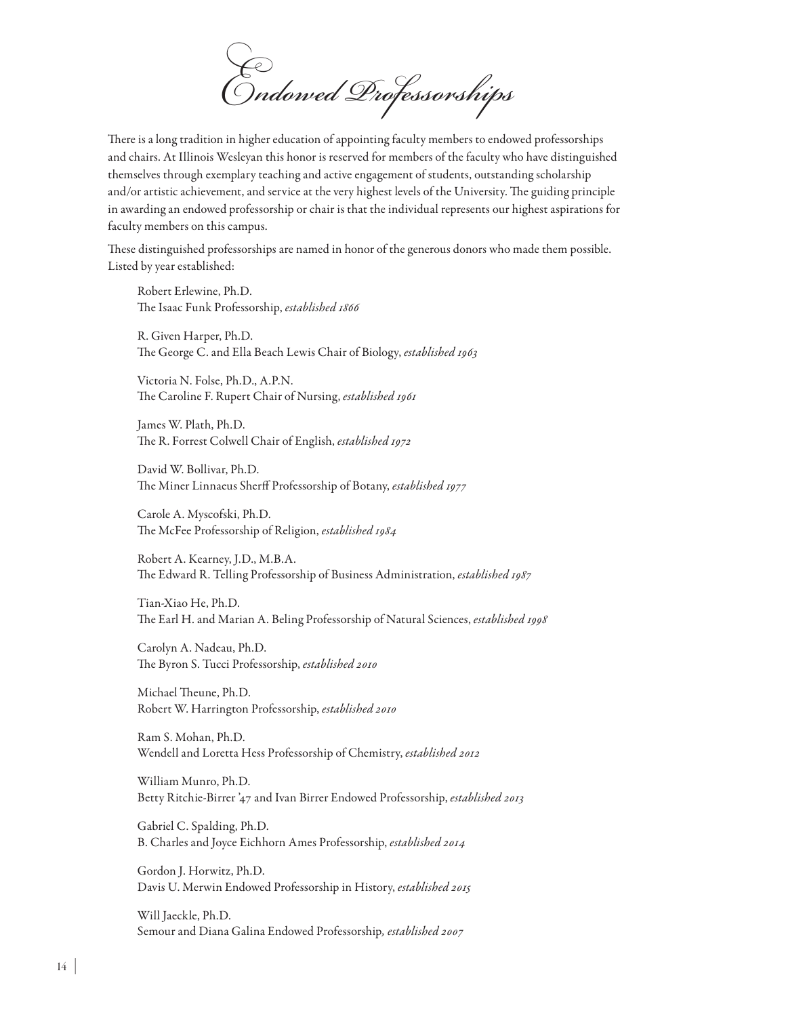*Endowed Professorships*

There is a long tradition in higher education of appointing faculty members to endowed professorships and chairs. At Illinois Wesleyan this honor is reserved for members of the faculty who have distinguished themselves through exemplary teaching and active engagement of students, outstanding scholarship and/or artistic achievement, and service at the very highest levels of the University. The guiding principle in awarding an endowed professorship or chair is that the individual represents our highest aspirations for faculty members on this campus.

These distinguished professorships are named in honor of the generous donors who made them possible. Listed by year established:

Robert Erlewine, Ph.D. The Isaac Funk Professorship, *established 1866*

R. Given Harper, Ph.D. The George C. and Ella Beach Lewis Chair of Biology, *established 1963*

Victoria N. Folse, Ph.D., A.P.N. The Caroline F. Rupert Chair of Nursing, *established 1961*

James W. Plath, Ph.D. The R. Forrest Colwell Chair of English, *established 1972*

David W. Bollivar, Ph.D. The Miner Linnaeus Sherff Professorship of Botany, *established 1977*

Carole A. Myscofski, Ph.D. The McFee Professorship of Religion, *established 1984*

Robert A. Kearney, J.D., M.B.A. The Edward R. Telling Professorship of Business Administration, *established 1987*

Tian-Xiao He, Ph.D. The Earl H. and Marian A. Beling Professorship of Natural Sciences, *established 1998*

Carolyn A. Nadeau, Ph.D. The Byron S. Tucci Professorship, *established 2010*

Michael Theune, Ph.D. Robert W. Harrington Professorship, *established 2010*

Ram S. Mohan, Ph.D. Wendell and Loretta Hess Professorship of Chemistry, *established 2012*

William Munro, Ph.D. Betty Ritchie-Birrer '47 and Ivan Birrer Endowed Professorship, *established 2013*

Gabriel C. Spalding, Ph.D. B. Charles and Joyce Eichhorn Ames Professorship, *established 2014*

Gordon J. Horwitz, Ph.D. Davis U. Merwin Endowed Professorship in History, *established 2015*

Will Jaeckle, Ph.D. Semour and Diana Galina Endowed Professorship*, established 2007*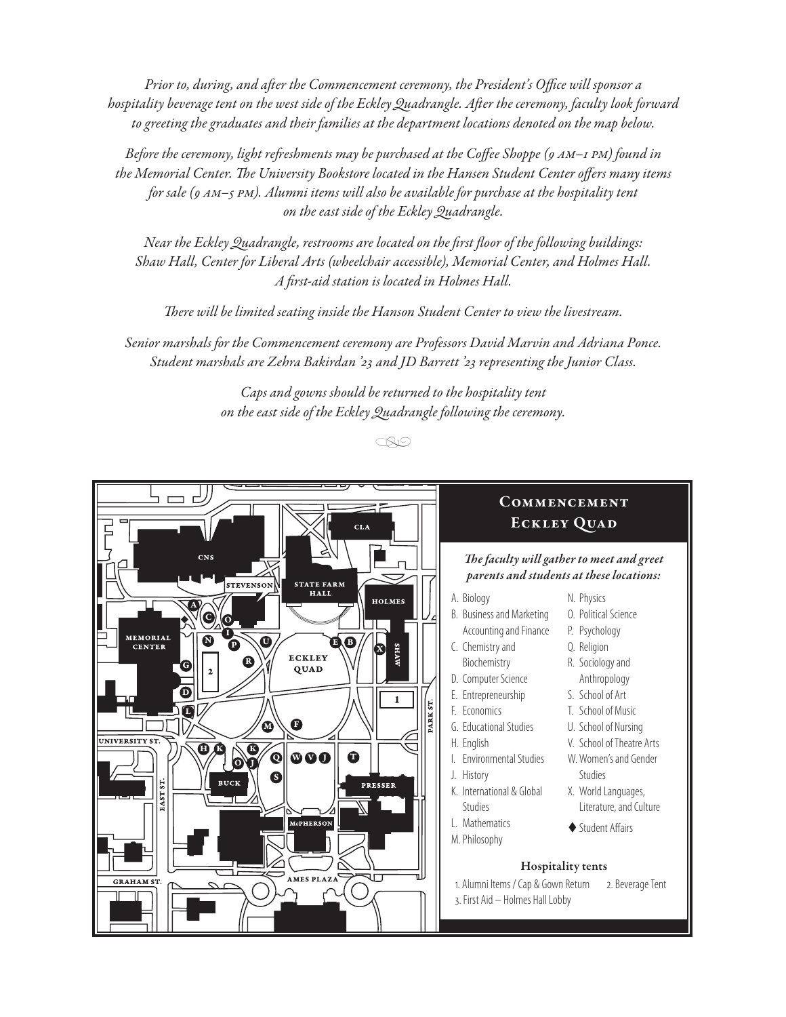*Prior to, during, and after the Commencement ceremony, the President's Office will sponsor a hospitality beverage tent on the west side of the Eckley Quadrangle. After the ceremony, faculty look forward to greeting the graduates and their families at the department locations denoted on the map below.*

*Before the ceremony, light refreshments may be purchased at the Coffee Shoppe (9 am–1 pm) found in the Memorial Center. The University Bookstore located in the Hansen Student Center offers many items for sale (9 am–5 pm). Alumni items will also be available for purchase at the hospitality tent on the east side of the Eckley Quadrangle.*

*Near the Eckley Quadrangle, restrooms are located on the first floor of the following buildings: Shaw Hall, Center for Liberal Arts (wheelchair accessible), Memorial Center, and Holmes Hall. A first-aid station is located in Holmes Hall.* 

*There will be limited seating inside the Hanson Student Center to view the livestream.*

*Senior marshals for the Commencement ceremony are Professors David Marvin and Adriana Ponce. Student marshals are Zehra Bakirdan '23 and JD Barrett '23 representing the Junior Class.*

> *Caps and gowns should be returned to the hospitality tent on the east side of the Eckley Quadrangle following the ceremony.*

> > *•*